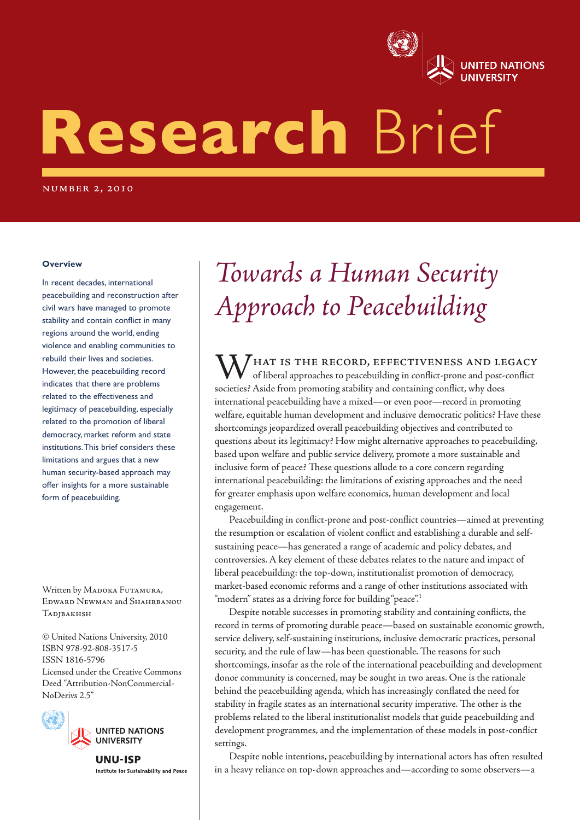

# Research Brief

number 2, 2010

#### **Overview**

In recent decades, international peacebuilding and reconstruction after civil wars have managed to promote stability and contain conflict in many regions around the world, ending violence and enabling communities to rebuild their lives and societies. However, the peacebuilding record indicates that there are problems related to the effectiveness and legitimacy of peacebuilding, especially related to the promotion of liberal democracy, market reform and state institutions.This brief considers these limitations and argues that a new human security-based approach may offer insights for a more sustainable form of peacebuilding.

Written by MADOKA FUTAMURA, Edward Newman and Shahrbanou **TADJBAKHSH** 

© United Nations University, 2010 ISBN 978-92-808-3517-5 ISSN 1816-5796 Licensed under the Creative Commons Deed "Attribution-NonCommercial-NoDerivs 2.5"



**UNU-ISP** Institute for Sustainability and Peace

# *Towards a Human Security Approach to Peacebuilding*

**IF THE RECORD, EFFECTIVENESS AND LEGACY** of liberal approaches to peacebuilding in conflict-prone and post-conflict societies? Aside from promoting stability and containing conflict, why does international peacebuilding have a mixed—or even poor—record in promoting welfare, equitable human development and inclusive democratic politics? Have these shortcomings jeopardized overall peacebuilding objectives and contributed to questions about its legitimacy? How might alternative approaches to peacebuilding, based upon welfare and public service delivery, promote a more sustainable and inclusive form of peace? These questions allude to a core concern regarding international peacebuilding: the limitations of existing approaches and the need for greater emphasis upon welfare economics, human development and local engagement.

Peacebuilding in conflict-prone and post-conflict countries—aimed at preventing the resumption or escalation of violent conflict and establishing a durable and selfsustaining peace—has generated a range of academic and policy debates, and controversies. A key element of these debates relates to the nature and impact of liberal peacebuilding: the top-down, institutionalist promotion of democracy, market-based economic reforms and a range of other institutions associated with "modern" states as a driving force for building "peace".<sup>1</sup>

Despite notable successes in promoting stability and containing conflicts, the record in terms of promoting durable peace—based on sustainable economic growth, service delivery, self-sustaining institutions, inclusive democratic practices, personal security, and the rule of law—has been questionable. The reasons for such shortcomings, insofar as the role of the international peacebuilding and development donor community is concerned, may be sought in two areas. One is the rationale behind the peacebuilding agenda, which has increasingly conflated the need for stability in fragile states as an international security imperative. The other is the problems related to the liberal institutionalist models that guide peacebuilding and development programmes, and the implementation of these models in post-conflict settings.

Despite noble intentions, peacebuilding by international actors has often resulted in a heavy reliance on top-down approaches and—according to some observers—a

*Towards a Human Security Approach to Peacebuilding* 1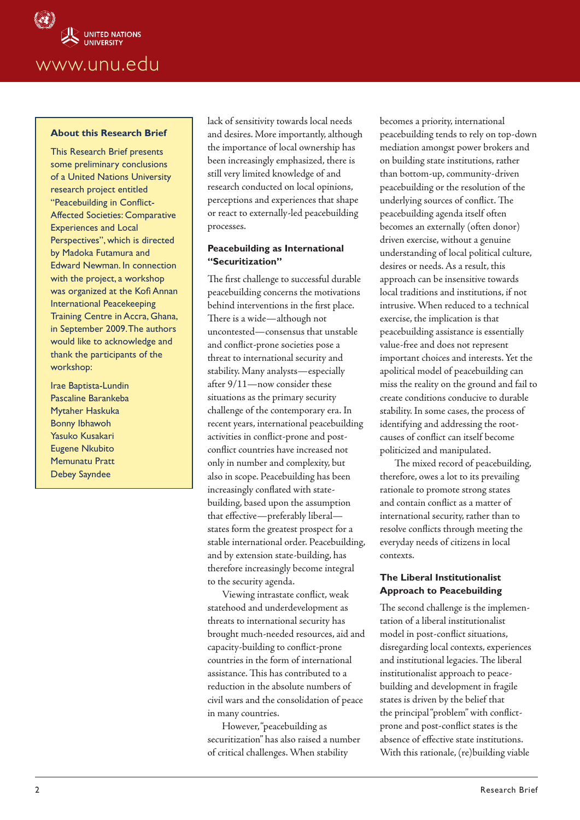

#### **About this Research Brief**

This Research Brief presents some preliminary conclusions of a United Nations University research project entitled "Peacebuilding in Conflict-Affected Societies: Comparative Experiences and Local Perspectives", which is directed by Madoka Futamura and Edward Newman. In connection with the project, a workshop was organized at the Kofi Annan International Peacekeeping Training Centre in Accra, Ghana, in September 2009.The authors would like to acknowledge and thank the participants of the workshop:

Irae Baptista-Lundin Pascaline Barankeba Mytaher Haskuka Bonny Ibhawoh Yasuko Kusakari Eugene Nkubito Memunatu Pratt Debey Sayndee

lack of sensitivity towards local needs and desires. More importantly, although the importance of local ownership has been increasingly emphasized, there is still very limited knowledge of and research conducted on local opinions, perceptions and experiences that shape or react to externally-led peacebuilding processes.

#### **Peacebuilding as International "Securitization"**

The first challenge to successful durable peacebuilding concerns the motivations behind interventions in the first place. There is a wide—although not uncontested—consensus that unstable and conflict-prone societies pose a threat to international security and stability. Many analysts—especially after 9/11—now consider these situations as the primary security challenge of the contemporary era. In recent years, international peacebuilding activities in conflict-prone and postconflict countries have increased not only in number and complexity, but also in scope. Peacebuilding has been increasingly conflated with statebuilding, based upon the assumption that effective—preferably liberal states form the greatest prospect for a stable international order. Peacebuilding, and by extension state-building, has therefore increasingly become integral to the security agenda.

Viewing intrastate conflict, weak statehood and underdevelopment as threats to international security has brought much-needed resources, aid and capacity-building to conflict-prone countries in the form of international assistance. This has contributed to a reduction in the absolute numbers of civil wars and the consolidation of peace in many countries.

However, "peacebuilding as securitization" has also raised a number of critical challenges. When stability

becomes a priority, international peacebuilding tends to rely on top-down mediation amongst power brokers and on building state institutions, rather than bottom-up, community-driven peacebuilding or the resolution of the underlying sources of conflict. The peacebuilding agenda itself often becomes an externally (often donor) driven exercise, without a genuine understanding of local political culture, desires or needs. As a result, this approach can be insensitive towards local traditions and institutions, if not intrusive. When reduced to a technical exercise, the implication is that peacebuilding assistance is essentially value-free and does not represent important choices and interests. Yet the apolitical model of peacebuilding can miss the reality on the ground and fail to create conditions conducive to durable stability. In some cases, the process of identifying and addressing the rootcauses of conflict can itself become politicized and manipulated.

The mixed record of peacebuilding, therefore, owes a lot to its prevailing rationale to promote strong states and contain conflict as a matter of international security, rather than to resolve conflicts through meeting the everyday needs of citizens in local contexts.

#### **The Liberal Institutionalist Approach to Peacebuilding**

The second challenge is the implementation of a liberal institutionalist model in post-conflict situations, disregarding local contexts, experiences and institutional legacies. The liberal institutionalist approach to peacebuilding and development in fragile states is driven by the belief that the principal "problem" with conflictprone and post-conflict states is the absence of effective state institutions. With this rationale, (re)building viable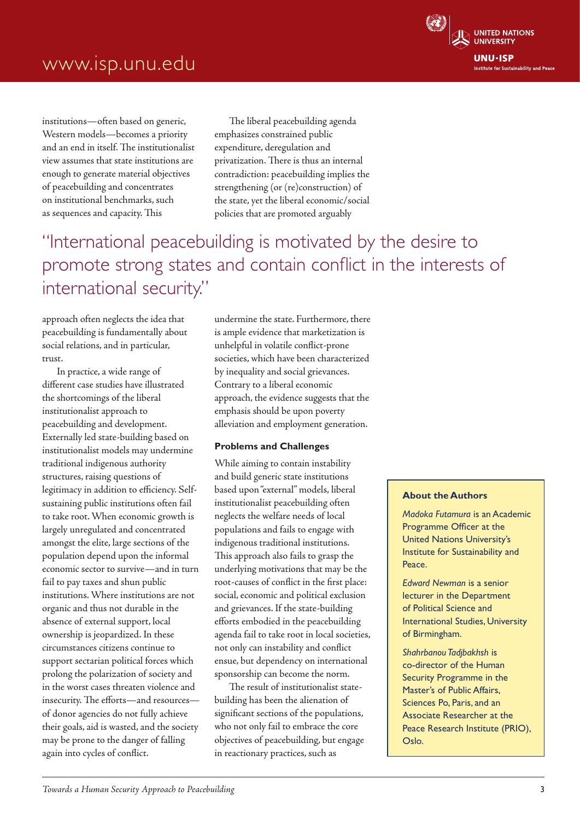## www.isp.unu.edu



institutions—often based on generic, Western models—becomes a priority and an end in itself. The institutionalist view assumes that state institutions are enough to generate material objectives of peacebuilding and concentrates on institutional benchmarks, such as sequences and capacity. This

The liberal peacebuilding agenda emphasizes constrained public expenditure, deregulation and privatization. There is thus an internal contradiction: peacebuilding implies the strengthening (or (re)construction) of the state, yet the liberal economic/social policies that are promoted arguably

## "International peacebuilding is motivated by the desire to promote strong states and contain conflict in the interests of international security."

approach often neglects the idea that peacebuilding is fundamentally about social relations, and in particular, trust.

In practice, a wide range of different case studies have illustrated the shortcomings of the liberal institutionalist approach to peacebuilding and development. Externally led state-building based on institutionalist models may undermine traditional indigenous authority structures, raising questions of legitimacy in addition to efficiency. Selfsustaining public institutions often fail to take root. When economic growth is largely unregulated and concentrated amongst the elite, large sections of the population depend upon the informal economic sector to survive—and in turn fail to pay taxes and shun public institutions. Where institutions are not organic and thus not durable in the absence of external support, local ownership is jeopardized. In these circumstances citizens continue to support sectarian political forces which prolong the polarization of society and in the worst cases threaten violence and insecurity. The efforts—and resources of donor agencies do not fully achieve their goals, aid is wasted, and the society may be prone to the danger of falling again into cycles of conflict.

undermine the state. Furthermore, there is ample evidence that marketization is unhelpful in volatile conflict-prone societies, which have been characterized by inequality and social grievances. Contrary to a liberal economic approach, the evidence suggests that the emphasis should be upon poverty alleviation and employment generation.

#### **Problems and Challenges**

While aiming to contain instability and build generic state institutions based upon "external" models, liberal institutionalist peacebuilding often neglects the welfare needs of local populations and fails to engage with indigenous traditional institutions. This approach also fails to grasp the underlying motivations that may be the root-causes of conflict in the first place: social, economic and political exclusion and grievances. If the state-building efforts embodied in the peacebuilding agenda fail to take root in local societies, not only can instability and conflict ensue, but dependency on international sponsorship can become the norm.

The result of institutionalist statebuilding has been the alienation of significant sections of the populations, who not only fail to embrace the core objectives of peacebuilding, but engage in reactionary practices, such as

#### **About the Authors**

*Madoka Futamura* is an Academic Programme Officer at the United Nations University's Institute for Sustainability and Peace.

*Edward Newman* is a senior lecturer in the Department of Political Science and International Studies, University of Birmingham.

*Shahrbanou Tadjbakhsh* is co-director of the Human Security Programme in the Master's of Public Affairs, Sciences Po, Paris, and an Associate Researcher at the Peace Research Institute (PRIO), Oslo.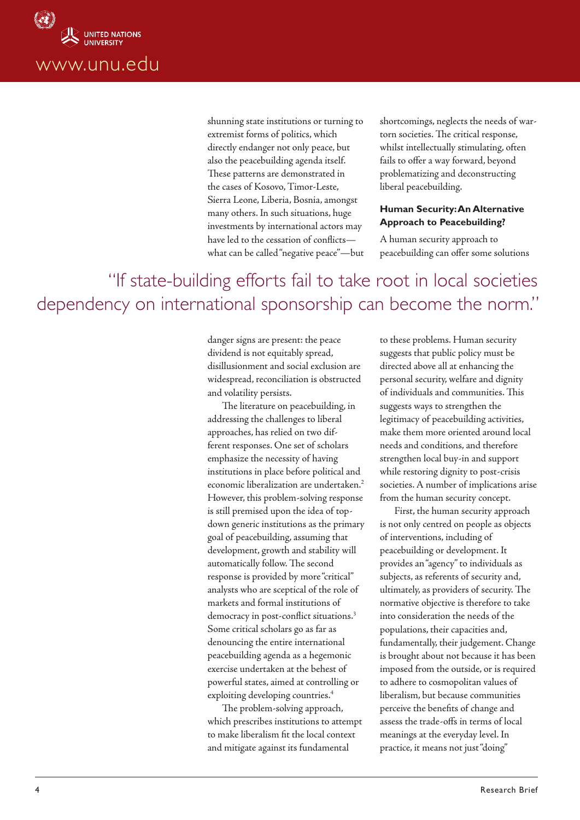

shunning state institutions or turning to extremist forms of politics, which directly endanger not only peace, but also the peacebuilding agenda itself. These patterns are demonstrated in the cases of Kosovo, Timor-Leste, Sierra Leone, Liberia, Bosnia, amongst many others. In such situations, huge investments by international actors may have led to the cessation of conflicts what can be called "negative peace"—but shortcomings, neglects the needs of wartorn societies. The critical response, whilst intellectually stimulating, often fails to offer a way forward, beyond problematizing and deconstructing liberal peacebuilding.

#### **Human Security: An Alternative Approach to Peacebuilding?**

A human security approach to peacebuilding can offer some solutions

"If state-building efforts fail to take root in local societies dependency on international sponsorship can become the norm."

> danger signs are present: the peace dividend is not equitably spread, disillusionment and social exclusion are widespread, reconciliation is obstructed and volatility persists.

The literature on peacebuilding, in addressing the challenges to liberal approaches, has relied on two different responses. One set of scholars emphasize the necessity of having institutions in place before political and economic liberalization are undertaken.2 However, this problem-solving response is still premised upon the idea of topdown generic institutions as the primary goal of peacebuilding, assuming that development, growth and stability will automatically follow. The second response is provided by more "critical" analysts who are sceptical of the role of markets and formal institutions of democracy in post-conflict situations.<sup>3</sup> Some critical scholars go as far as denouncing the entire international peacebuilding agenda as a hegemonic exercise undertaken at the behest of powerful states, aimed at controlling or exploiting developing countries.4

The problem-solving approach, which prescribes institutions to attempt to make liberalism fit the local context and mitigate against its fundamental

to these problems. Human security suggests that public policy must be directed above all at enhancing the personal security, welfare and dignity of individuals and communities. This suggests ways to strengthen the legitimacy of peacebuilding activities, make them more oriented around local needs and conditions, and therefore strengthen local buy-in and support while restoring dignity to post-crisis societies. A number of implications arise from the human security concept.

First, the human security approach is not only centred on people as objects of interventions, including of peacebuilding or development. It provides an "agency" to individuals as subjects, as referents of security and, ultimately, as providers of security. The normative objective is therefore to take into consideration the needs of the populations, their capacities and, fundamentally, their judgement. Change is brought about not because it has been imposed from the outside, or is required to adhere to cosmopolitan values of liberalism, but because communities perceive the benefits of change and assess the trade-offs in terms of local meanings at the everyday level. In practice, it means not just "doing"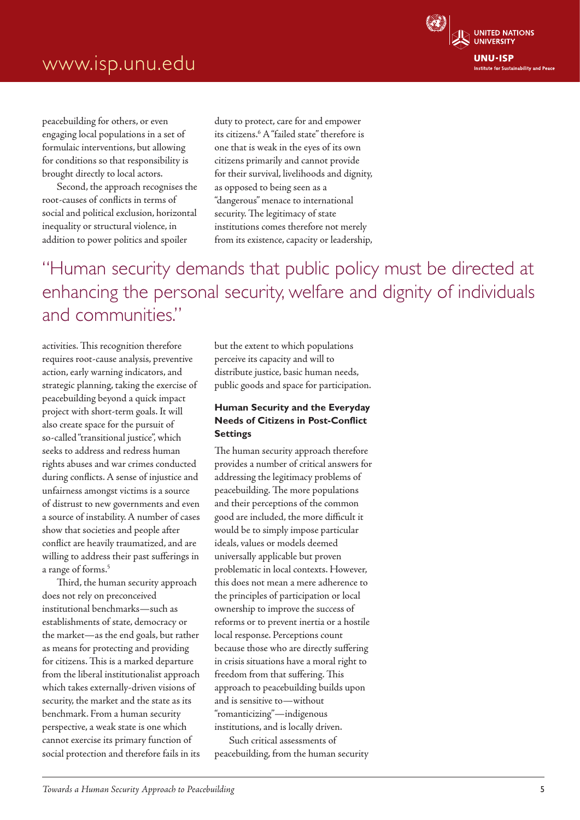## www.isp.unu.edu



peacebuilding for others, or even engaging local populations in a set of formulaic interventions, but allowing for conditions so that responsibility is brought directly to local actors.

Second, the approach recognises the root-causes of conflicts in terms of social and political exclusion, horizontal inequality or structural violence, in addition to power politics and spoiler

duty to protect, care for and empower its citizens.6 A "failed state" therefore is one that is weak in the eyes of its own citizens primarily and cannot provide for their survival, livelihoods and dignity, as opposed to being seen as a "dangerous" menace to international security. The legitimacy of state institutions comes therefore not merely from its existence, capacity or leadership,

## "Human security demands that public policy must be directed at enhancing the personal security, welfare and dignity of individuals and communities."

activities. This recognition therefore requires root-cause analysis, preventive action, early warning indicators, and strategic planning, taking the exercise of peacebuilding beyond a quick impact project with short-term goals. It will also create space for the pursuit of so-called "transitional justice", which seeks to address and redress human rights abuses and war crimes conducted during conflicts. A sense of injustice and unfairness amongst victims is a source of distrust to new governments and even a source of instability. A number of cases show that societies and people after conflict are heavily traumatized, and are willing to address their past sufferings in a range of forms.<sup>5</sup>

Third, the human security approach does not rely on preconceived institutional benchmarks—such as establishments of state, democracy or the market—as the end goals, but rather as means for protecting and providing for citizens. This is a marked departure from the liberal institutionalist approach which takes externally-driven visions of security, the market and the state as its benchmark. From a human security perspective, a weak state is one which cannot exercise its primary function of social protection and therefore fails in its but the extent to which populations perceive its capacity and will to distribute justice, basic human needs, public goods and space for participation.

#### **Human Security and the Everyday Needs of Citizens in Post-Conflict Settings**

The human security approach therefore provides a number of critical answers for addressing the legitimacy problems of peacebuilding. The more populations and their perceptions of the common good are included, the more difficult it would be to simply impose particular ideals, values or models deemed universally applicable but proven problematic in local contexts. However, this does not mean a mere adherence to the principles of participation or local ownership to improve the success of reforms or to prevent inertia or a hostile local response. Perceptions count because those who are directly suffering in crisis situations have a moral right to freedom from that suffering. This approach to peacebuilding builds upon and is sensitive to—without "romanticizing"—indigenous institutions, and is locally driven.

Such critical assessments of peacebuilding, from the human security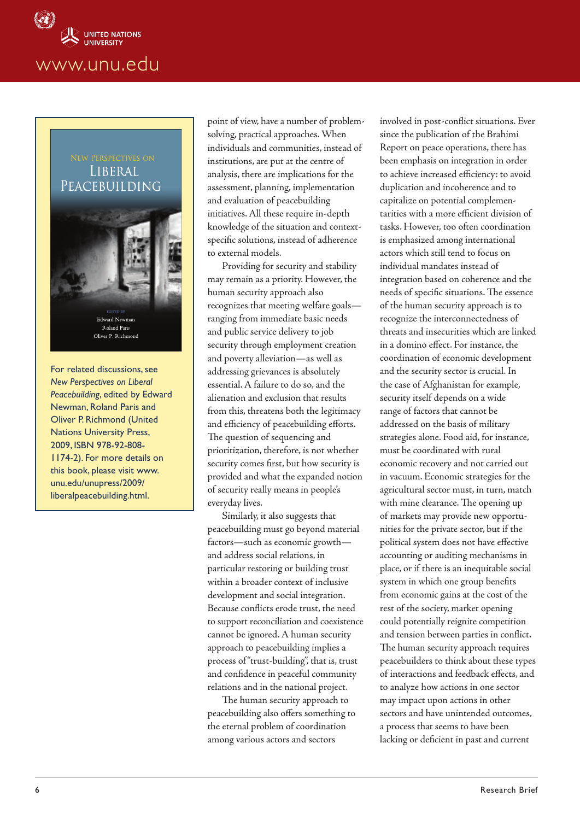



For related discussions, see *New Perspectives on Liberal Peacebuilding*, edited by Edward Newman, Roland Paris and Oliver P. Richmond (United Nations University Press, 2009, ISBN 978-92-808- 1174-2). For more details on this book, please visit www. unu.edu/unupress/2009/ liberalpeacebuilding.html.

point of view, have a number of problemsolving, practical approaches. When individuals and communities, instead of institutions, are put at the centre of analysis, there are implications for the assessment, planning, implementation and evaluation of peacebuilding initiatives. All these require in-depth knowledge of the situation and contextspecific solutions, instead of adherence to external models.

Providing for security and stability may remain as a priority. However, the human security approach also recognizes that meeting welfare goals ranging from immediate basic needs and public service delivery to job security through employment creation and poverty alleviation—as well as addressing grievances is absolutely essential. A failure to do so, and the alienation and exclusion that results from this, threatens both the legitimacy and efficiency of peacebuilding efforts. The question of sequencing and prioritization, therefore, is not whether security comes first, but how security is provided and what the expanded notion of security really means in people's everyday lives.

Similarly, it also suggests that peacebuilding must go beyond material factors—such as economic growth and address social relations, in particular restoring or building trust within a broader context of inclusive development and social integration. Because conflicts erode trust, the need to support reconciliation and coexistence cannot be ignored. A human security approach to peacebuilding implies a process of "trust-building", that is, trust and confidence in peaceful community relations and in the national project.

The human security approach to peacebuilding also offers something to the eternal problem of coordination among various actors and sectors

involved in post-conflict situations. Ever since the publication of the Brahimi Report on peace operations, there has been emphasis on integration in order to achieve increased efficiency: to avoid duplication and incoherence and to capitalize on potential complementarities with a more efficient division of tasks. However, too often coordination is emphasized among international actors which still tend to focus on individual mandates instead of integration based on coherence and the needs of specific situations. The essence of the human security approach is to recognize the interconnectedness of threats and insecurities which are linked in a domino effect. For instance, the coordination of economic development and the security sector is crucial. In the case of Afghanistan for example, security itself depends on a wide range of factors that cannot be addressed on the basis of military strategies alone. Food aid, for instance, must be coordinated with rural economic recovery and not carried out in vacuum. Economic strategies for the agricultural sector must, in turn, match with mine clearance. The opening up of markets may provide new opportunities for the private sector, but if the political system does not have effective accounting or auditing mechanisms in place, or if there is an inequitable social system in which one group benefits from economic gains at the cost of the rest of the society, market opening could potentially reignite competition and tension between parties in conflict. The human security approach requires peacebuilders to think about these types of interactions and feedback effects, and to analyze how actions in one sector may impact upon actions in other sectors and have unintended outcomes, a process that seems to have been lacking or deficient in past and current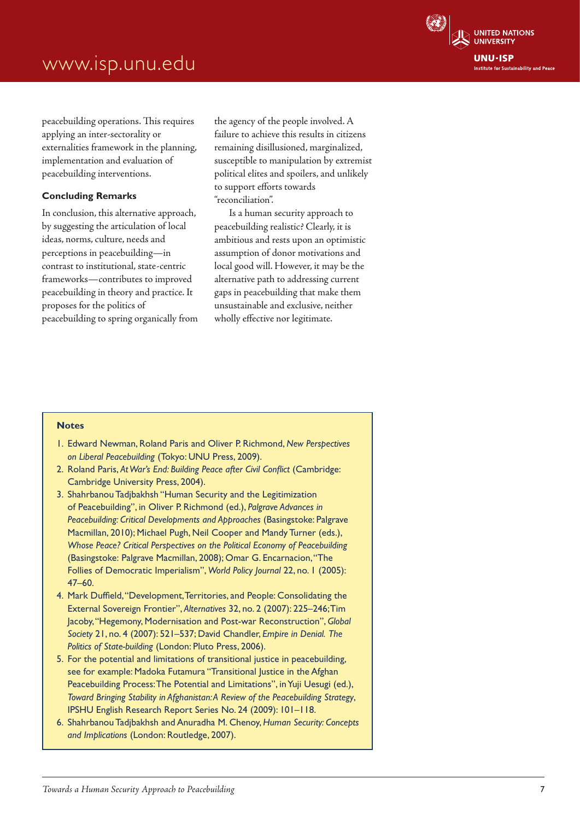### www.isp.unu.edu



peacebuilding operations. This requires applying an inter-sectorality or externalities framework in the planning, implementation and evaluation of peacebuilding interventions.

#### **Concluding Remarks**

In conclusion, this alternative approach, by suggesting the articulation of local ideas, norms, culture, needs and perceptions in peacebuilding—in contrast to institutional, state-centric frameworks—contributes to improved peacebuilding in theory and practice. It proposes for the politics of peacebuilding to spring organically from the agency of the people involved. A failure to achieve this results in citizens remaining disillusioned, marginalized, susceptible to manipulation by extremist political elites and spoilers, and unlikely to support efforts towards "reconciliation".

Is a human security approach to peacebuilding realistic? Clearly, it is ambitious and rests upon an optimistic assumption of donor motivations and local good will. However, it may be the alternative path to addressing current gaps in peacebuilding that make them unsustainable and exclusive, neither wholly effective nor legitimate.

#### **Notes**

- 1. Edward Newman, Roland Paris and Oliver P. Richmond, *New Perspectives on Liberal Peacebuilding* (Tokyo: UNU Press, 2009).
- 2. Roland Paris, At War's End: Building Peace after Civil Conflict (Cambridge: Cambridge University Press, 2004).
- 3. Shahrbanou Tadjbakhsh "Human Security and the Legitimization of Peacebuilding", in Oliver P. Richmond (ed.), *Palgrave Advances in Peacebuilding: Critical Developments and Approaches* (Basingstoke: Palgrave Macmillan, 2010); Michael Pugh, Neil Cooper and Mandy Turner (eds.), *Whose Peace? Critical Perspectives on the Political Economy of Peacebuilding*  (Basingstoke: Palgrave Macmillan, 2008); Omar G. Encarnacion,"The Follies of Democratic Imperialism", *World Policy Journal* 22, no. 1 (2005): 47–60.
- 4. Mark Duffield, "Development, Territories, and People: Consolidating the External Sovereign Frontier", *Alternatives* 32, no. 2 (2007): 225–246;Tim Jacoby,"Hegemony, Modernisation and Post-war Reconstruction", *Global Society* 21, no. 4 (2007): 521–537; David Chandler, *Empire in Denial. The Politics of State-building* (London: Pluto Press, 2006).
- 5. For the potential and limitations of transitional justice in peacebuilding, see for example: Madoka Futamura "Transitional Justice in the Afghan Peacebuilding Process: The Potential and Limitations", in Yuji Uesugi (ed.), *Toward Bringing Stability in Afghanistan: A Review of the Peacebuilding Strategy*, IPSHU English Research Report Series No. 24 (2009): 101–118.
- 6. Shahrbanou Tadjbakhsh and Anuradha M. Chenoy, *Human Security: Concepts and Implications* (London: Routledge, 2007).